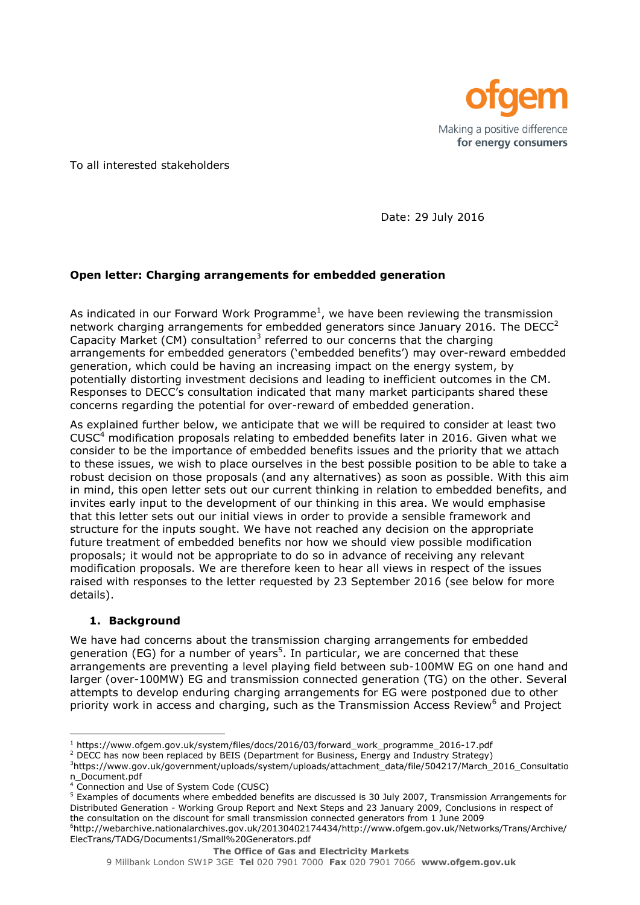

To all interested stakeholders

Date: 29 July 2016

## **Open letter: Charging arrangements for embedded generation**

As indicated in our Forward Work Programme<sup>1</sup>, we have been reviewing the transmission network charging arrangements for embedded generators since January 2016. The DECC $2$ Capacity Market (CM) consultation<sup>3</sup> referred to our concerns that the charging arrangements for embedded generators ('embedded benefits') may over-reward embedded generation, which could be having an increasing impact on the energy system, by potentially distorting investment decisions and leading to inefficient outcomes in the CM. Responses to DECC's consultation indicated that many market participants shared these concerns regarding the potential for over-reward of embedded generation.

As explained further below, we anticipate that we will be required to consider at least two  $CUSC<sup>4</sup>$  modification proposals relating to embedded benefits later in 2016. Given what we consider to be the importance of embedded benefits issues and the priority that we attach to these issues, we wish to place ourselves in the best possible position to be able to take a robust decision on those proposals (and any alternatives) as soon as possible. With this aim in mind, this open letter sets out our current thinking in relation to embedded benefits, and invites early input to the development of our thinking in this area. We would emphasise that this letter sets out our initial views in order to provide a sensible framework and structure for the inputs sought. We have not reached any decision on the appropriate future treatment of embedded benefits nor how we should view possible modification proposals; it would not be appropriate to do so in advance of receiving any relevant modification proposals. We are therefore keen to hear all views in respect of the issues raised with responses to the letter requested by 23 September 2016 (see below for more details).

### **1. Background**

l

We have had concerns about the transmission charging arrangements for embedded generation (EG) for a number of years<sup>5</sup>. In particular, we are concerned that these arrangements are preventing a level playing field between sub-100MW EG on one hand and larger (over-100MW) EG and transmission connected generation (TG) on the other. Several attempts to develop enduring charging arrangements for EG were postponed due to other priority work in access and charging, such as the Transmission Access Review<sup>6</sup> and Project

9 Millbank London SW1P 3GE **Tel** 020 7901 7000 **Fax** 020 7901 7066 **www.ofgem.gov.uk**

<sup>1</sup> https://www.ofgem.gov.uk/system/files/docs/2016/03/forward\_work\_programme\_2016-17.pdf

<sup>&</sup>lt;sup>2</sup> DECC has now been replaced by BEIS (Department for Business, Energy and Industry Strategy)

<sup>3</sup>https://www.gov.uk/government/uploads/system/uploads/attachment\_data/file/504217/March\_2016\_Consultatio n\_Document.pdf

<sup>4</sup> Connection and Use of System Code (CUSC)

<sup>5</sup> Examples of documents where embedded benefits are discussed is 30 July 2007, Transmission Arrangements for Distributed Generation - Working Group Report and Next Steps and 23 January 2009, Conclusions in respect of the consultation on the discount for small transmission connected generators from 1 June 2009

<sup>6</sup>http://webarchive.nationalarchives.gov.uk/20130402174434/http://www.ofgem.gov.uk/Networks/Trans/Archive/ ElecTrans/TADG/Documents1/Small%20Generators.pdf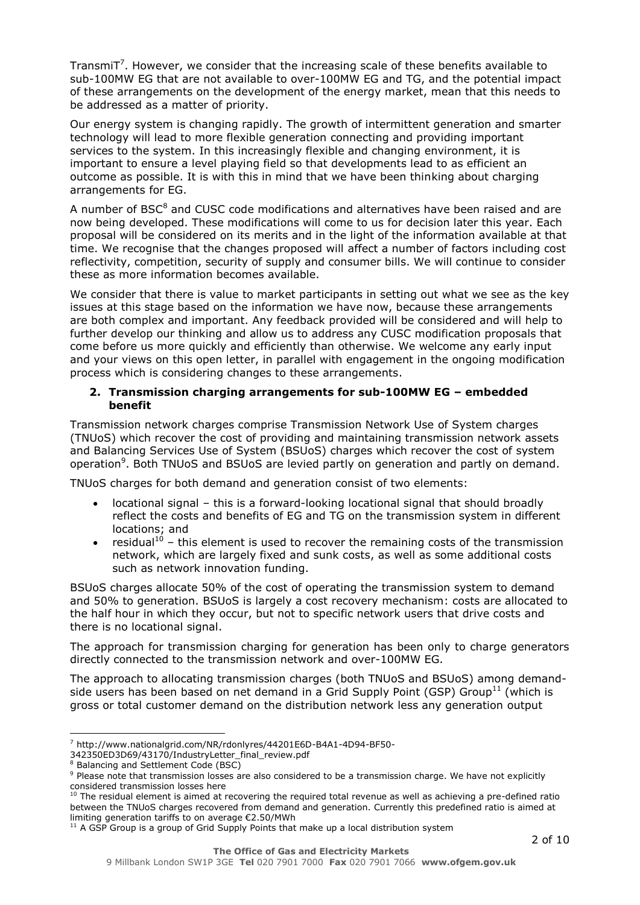TransmiT<sup>7</sup>. However, we consider that the increasing scale of these benefits available to sub-100MW EG that are not available to over-100MW EG and TG, and the potential impact of these arrangements on the development of the energy market, mean that this needs to be addressed as a matter of priority.

Our energy system is changing rapidly. The growth of intermittent generation and smarter technology will lead to more flexible generation connecting and providing important services to the system. In this increasingly flexible and changing environment, it is important to ensure a level playing field so that developments lead to as efficient an outcome as possible. It is with this in mind that we have been thinking about charging arrangements for EG.

A number of BSC<sup>8</sup> and CUSC code modifications and alternatives have been raised and are now being developed. These modifications will come to us for decision later this year. Each proposal will be considered on its merits and in the light of the information available at that time. We recognise that the changes proposed will affect a number of factors including cost reflectivity, competition, security of supply and consumer bills. We will continue to consider these as more information becomes available.

We consider that there is value to market participants in setting out what we see as the key issues at this stage based on the information we have now, because these arrangements are both complex and important. Any feedback provided will be considered and will help to further develop our thinking and allow us to address any CUSC modification proposals that come before us more quickly and efficiently than otherwise. We welcome any early input and your views on this open letter, in parallel with engagement in the ongoing modification process which is considering changes to these arrangements.

#### **2. Transmission charging arrangements for sub-100MW EG – embedded benefit**

Transmission network charges comprise Transmission Network Use of System charges (TNUoS) which recover the cost of providing and maintaining transmission network assets and Balancing Services Use of System (BSUoS) charges which recover the cost of system operation<sup>9</sup>. Both TNUoS and BSUoS are levied partly on generation and partly on demand.

TNUoS charges for both demand and generation consist of two elements:

- locational signal this is a forward-looking locational signal that should broadly reflect the costs and benefits of EG and TG on the transmission system in different locations; and
- residual<sup>10</sup> this element is used to recover the remaining costs of the transmission network, which are largely fixed and sunk costs, as well as some additional costs such as network innovation funding.

BSUoS charges allocate 50% of the cost of operating the transmission system to demand and 50% to generation. BSUoS is largely a cost recovery mechanism: costs are allocated to the half hour in which they occur, but not to specific network users that drive costs and there is no locational signal.

The approach for transmission charging for generation has been only to charge generators directly connected to the transmission network and over-100MW EG.

The approach to allocating transmission charges (both TNUoS and BSUoS) among demandside users has been based on net demand in a Grid Supply Point (GSP) Group<sup>11</sup> (which is gross or total customer demand on the distribution network less any generation output

j. <sup>7</sup> http://www.nationalgrid.com/NR/rdonlyres/44201E6D-B4A1-4D94-BF50-

<sup>342350</sup>ED3D69/43170/IndustryLetter\_final\_review.pdf

<sup>&</sup>lt;sup>8</sup> Balancing and Settlement Code (BSC)

<sup>9</sup> Please note that transmission losses are also considered to be a transmission charge. We have not explicitly considered transmission losses here

 $10$  The residual element is aimed at recovering the required total revenue as well as achieving a pre-defined ratio between the TNUoS charges recovered from demand and generation. Currently this predefined ratio is aimed at limiting generation tariffs to on average €2.50/MWh

 $11$  A GSP Group is a group of Grid Supply Points that make up a local distribution system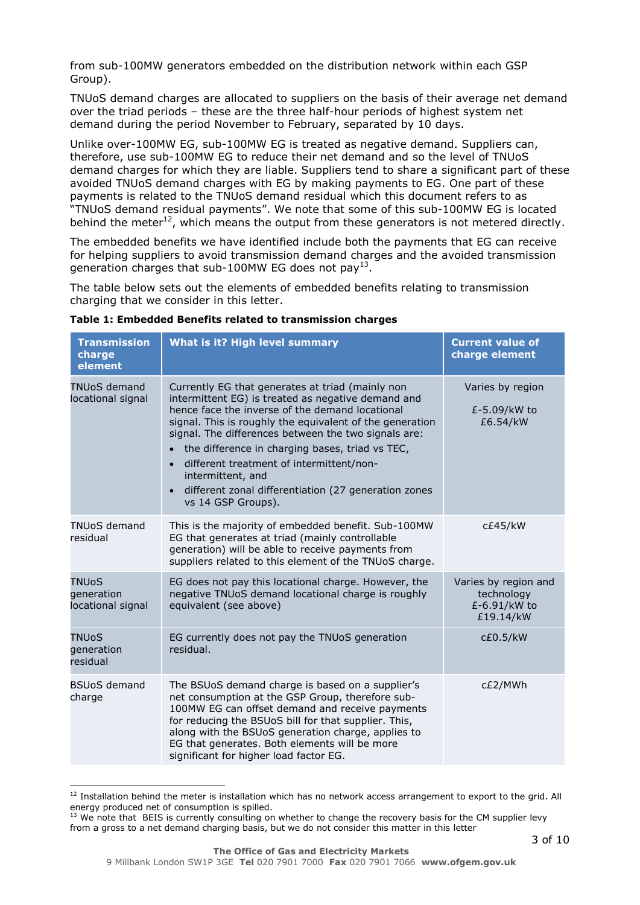from sub-100MW generators embedded on the distribution network within each GSP Group).

TNUoS demand charges are allocated to suppliers on the basis of their average net demand over the triad periods – these are the three half-hour periods of highest system net demand during the period November to February, separated by 10 days.

Unlike over-100MW EG, sub-100MW EG is treated as negative demand. Suppliers can, therefore, use sub-100MW EG to reduce their net demand and so the level of TNUoS demand charges for which they are liable. Suppliers tend to share a significant part of these avoided TNUoS demand charges with EG by making payments to EG. One part of these payments is related to the TNUoS demand residual which this document refers to as "TNUoS demand residual payments". We note that some of this sub-100MW EG is located behind the meter<sup>12</sup>, which means the output from these generators is not metered directly.

The embedded benefits we have identified include both the payments that EG can receive for helping suppliers to avoid transmission demand charges and the avoided transmission generation charges that sub-100MW EG does not pay<sup>13</sup>.

The table below sets out the elements of embedded benefits relating to transmission charging that we consider in this letter.

| Table 1: Embedded Benefits related to transmission charges |  |  |
|------------------------------------------------------------|--|--|
|                                                            |  |  |

| <b>Transmission</b><br>charge<br>element        | What is it? High level summary                                                                                                                                                                                                                                                                                                                                                                                                                                                                            | <b>Current value of</b><br>charge element                       |
|-------------------------------------------------|-----------------------------------------------------------------------------------------------------------------------------------------------------------------------------------------------------------------------------------------------------------------------------------------------------------------------------------------------------------------------------------------------------------------------------------------------------------------------------------------------------------|-----------------------------------------------------------------|
| <b>TNUoS demand</b><br>locational signal        | Currently EG that generates at triad (mainly non<br>intermittent EG) is treated as negative demand and<br>hence face the inverse of the demand locational<br>signal. This is roughly the equivalent of the generation<br>signal. The differences between the two signals are:<br>the difference in charging bases, triad vs TEC,<br>different treatment of intermittent/non-<br>$\bullet$<br>intermittent, and<br>different zonal differentiation (27 generation zones<br>$\bullet$<br>vs 14 GSP Groups). | Varies by region<br>£-5.09/kW to<br>£6.54/kW                    |
| <b>TNUoS demand</b><br>residual                 | This is the majority of embedded benefit. Sub-100MW<br>EG that generates at triad (mainly controllable<br>generation) will be able to receive payments from<br>suppliers related to this element of the TNUoS charge.                                                                                                                                                                                                                                                                                     | c£45/kW                                                         |
| <b>TNUoS</b><br>generation<br>locational signal | EG does not pay this locational charge. However, the<br>negative TNUoS demand locational charge is roughly<br>equivalent (see above)                                                                                                                                                                                                                                                                                                                                                                      | Varies by region and<br>technology<br>£-6.91/kW to<br>£19.14/kW |
| <b>TNUoS</b><br>generation<br>residual          | EG currently does not pay the TNUoS generation<br>residual.                                                                                                                                                                                                                                                                                                                                                                                                                                               | c£0.5/kW                                                        |
| <b>BSUoS demand</b><br>charge                   | The BSUoS demand charge is based on a supplier's<br>net consumption at the GSP Group, therefore sub-<br>100MW EG can offset demand and receive payments<br>for reducing the BSUoS bill for that supplier. This,<br>along with the BSUoS generation charge, applies to<br>EG that generates. Both elements will be more<br>significant for higher load factor EG.                                                                                                                                          | c£2/MWh                                                         |

l  $12$  Installation behind the meter is installation which has no network access arrangement to export to the grid. All energy produced net of consumption is spilled.

<sup>&</sup>lt;sup>13</sup> We note that BEIS is currently consulting on whether to change the recovery basis for the CM supplier levy from a gross to a net demand charging basis, but we do not consider this matter in this letter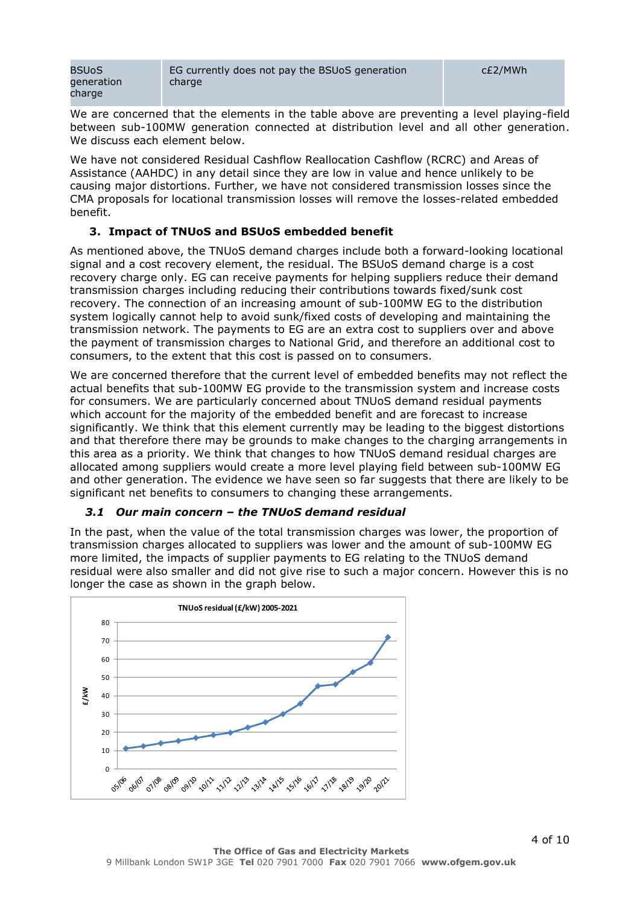| <b>BSUoS</b> | EG currently does not pay the BSUoS generation | c£2/MWh |
|--------------|------------------------------------------------|---------|
| qeneration   | charge                                         |         |
| charge       |                                                |         |

We are concerned that the elements in the table above are preventing a level playing-field between sub-100MW generation connected at distribution level and all other generation. We discuss each element below.

We have not considered Residual Cashflow Reallocation Cashflow (RCRC) and Areas of Assistance (AAHDC) in any detail since they are low in value and hence unlikely to be causing major distortions. Further, we have not considered transmission losses since the CMA proposals for locational transmission losses will remove the losses-related embedded benefit.

### **3. Impact of TNUoS and BSUoS embedded benefit**

As mentioned above, the TNUoS demand charges include both a forward-looking locational signal and a cost recovery element, the residual. The BSUoS demand charge is a cost recovery charge only. EG can receive payments for helping suppliers reduce their demand transmission charges including reducing their contributions towards fixed/sunk cost recovery. The connection of an increasing amount of sub-100MW EG to the distribution system logically cannot help to avoid sunk/fixed costs of developing and maintaining the transmission network. The payments to EG are an extra cost to suppliers over and above the payment of transmission charges to National Grid, and therefore an additional cost to consumers, to the extent that this cost is passed on to consumers.

We are concerned therefore that the current level of embedded benefits may not reflect the actual benefits that sub-100MW EG provide to the transmission system and increase costs for consumers. We are particularly concerned about TNUoS demand residual payments which account for the majority of the embedded benefit and are forecast to increase significantly. We think that this element currently may be leading to the biggest distortions and that therefore there may be grounds to make changes to the charging arrangements in this area as a priority. We think that changes to how TNUoS demand residual charges are allocated among suppliers would create a more level playing field between sub-100MW EG and other generation. The evidence we have seen so far suggests that there are likely to be significant net benefits to consumers to changing these arrangements.

### *3.1 Our main concern – the TNUoS demand residual*

In the past, when the value of the total transmission charges was lower, the proportion of transmission charges allocated to suppliers was lower and the amount of sub-100MW EG more limited, the impacts of supplier payments to EG relating to the TNUoS demand residual were also smaller and did not give rise to such a major concern. However this is no longer the case as shown in the graph below.

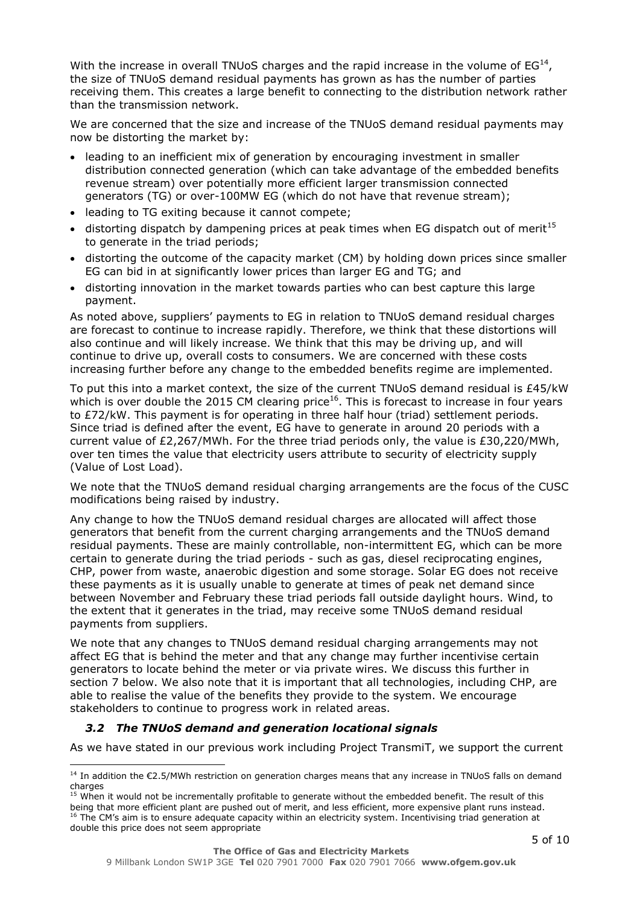With the increase in overall TNUoS charges and the rapid increase in the volume of  $EG^{14}$ , the size of TNUoS demand residual payments has grown as has the number of parties receiving them. This creates a large benefit to connecting to the distribution network rather than the transmission network.

We are concerned that the size and increase of the TNUoS demand residual payments may now be distorting the market by:

- leading to an inefficient mix of generation by encouraging investment in smaller distribution connected generation (which can take advantage of the embedded benefits revenue stream) over potentially more efficient larger transmission connected generators (TG) or over-100MW EG (which do not have that revenue stream);
- leading to TG exiting because it cannot compete;
- $\bullet$  distorting dispatch by dampening prices at peak times when EG dispatch out of merit<sup>15</sup> to generate in the triad periods;
- distorting the outcome of the capacity market (CM) by holding down prices since smaller EG can bid in at significantly lower prices than larger EG and TG; and
- distorting innovation in the market towards parties who can best capture this large payment.

As noted above, suppliers' payments to EG in relation to TNUoS demand residual charges are forecast to continue to increase rapidly. Therefore, we think that these distortions will also continue and will likely increase. We think that this may be driving up, and will continue to drive up, overall costs to consumers. We are concerned with these costs increasing further before any change to the embedded benefits regime are implemented.

To put this into a market context, the size of the current TNUoS demand residual is £45/kW which is over double the 2015 CM clearing price<sup>16</sup>. This is forecast to increase in four years to £72/kW. This payment is for operating in three half hour (triad) settlement periods. Since triad is defined after the event, EG have to generate in around 20 periods with a current value of £2,267/MWh. For the three triad periods only, the value is £30,220/MWh, over ten times the value that electricity users attribute to security of electricity supply (Value of Lost Load).

We note that the TNUoS demand residual charging arrangements are the focus of the CUSC modifications being raised by industry.

Any change to how the TNUoS demand residual charges are allocated will affect those generators that benefit from the current charging arrangements and the TNUoS demand residual payments. These are mainly controllable, non-intermittent EG, which can be more certain to generate during the triad periods - such as gas, diesel reciprocating engines, CHP, power from waste, anaerobic digestion and some storage. Solar EG does not receive these payments as it is usually unable to generate at times of peak net demand since between November and February these triad periods fall outside daylight hours. Wind, to the extent that it generates in the triad, may receive some TNUoS demand residual payments from suppliers.

We note that any changes to TNUoS demand residual charging arrangements may not affect EG that is behind the meter and that any change may further incentivise certain generators to locate behind the meter or via private wires. We discuss this further in section 7 below. We also note that it is important that all technologies, including CHP, are able to realise the value of the benefits they provide to the system. We encourage stakeholders to continue to progress work in related areas.

#### *3.2 The TNUoS demand and generation locational signals*

l

As we have stated in our previous work including Project TransmiT, we support the current

<sup>&</sup>lt;sup>14</sup> In addition the €2.5/MWh restriction on generation charges means that any increase in TNUoS falls on demand charges

 $^5$  When it would not be incrementally profitable to generate without the embedded benefit. The result of this being that more efficient plant are pushed out of merit, and less efficient, more expensive plant runs instead. <sup>16</sup> The CM's aim is to ensure adequate capacity within an electricity system. Incentivising triad generation at double this price does not seem appropriate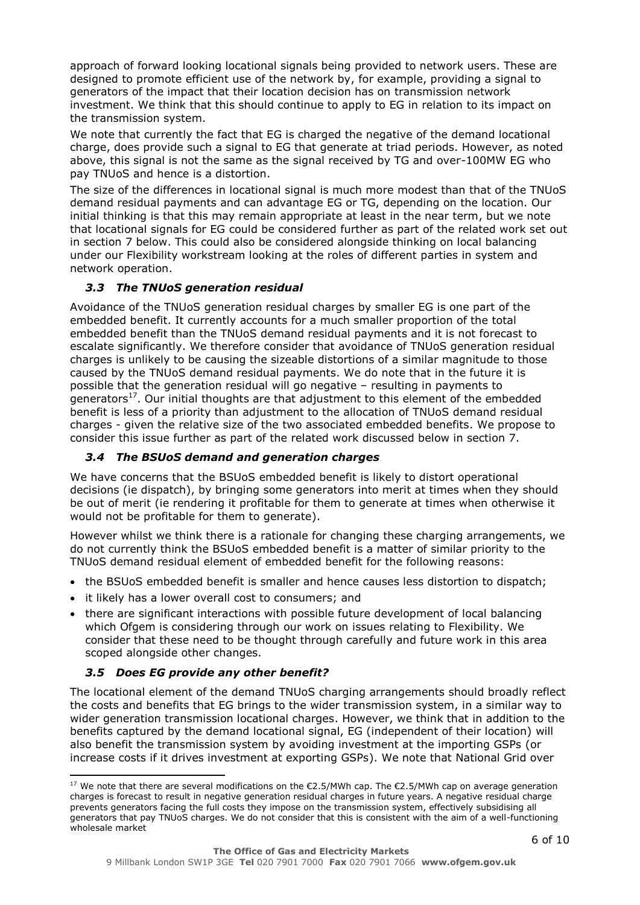approach of forward looking locational signals being provided to network users. These are designed to promote efficient use of the network by, for example, providing a signal to generators of the impact that their location decision has on transmission network investment. We think that this should continue to apply to EG in relation to its impact on the transmission system.

We note that currently the fact that EG is charged the negative of the demand locational charge, does provide such a signal to EG that generate at triad periods. However, as noted above, this signal is not the same as the signal received by TG and over-100MW EG who pay TNUoS and hence is a distortion.

The size of the differences in locational signal is much more modest than that of the TNUoS demand residual payments and can advantage EG or TG, depending on the location. Our initial thinking is that this may remain appropriate at least in the near term, but we note that locational signals for EG could be considered further as part of the related work set out in section 7 below. This could also be considered alongside thinking on local balancing under our Flexibility workstream looking at the roles of different parties in system and network operation.

## *3.3 The TNUoS generation residual*

Avoidance of the TNUoS generation residual charges by smaller EG is one part of the embedded benefit. It currently accounts for a much smaller proportion of the total embedded benefit than the TNUoS demand residual payments and it is not forecast to escalate significantly. We therefore consider that avoidance of TNUoS generation residual charges is unlikely to be causing the sizeable distortions of a similar magnitude to those caused by the TNUoS demand residual payments. We do note that in the future it is possible that the generation residual will go negative – resulting in payments to generators<sup>17</sup>. Our initial thoughts are that adjustment to this element of the embedded benefit is less of a priority than adjustment to the allocation of TNUoS demand residual charges - given the relative size of the two associated embedded benefits. We propose to consider this issue further as part of the related work discussed below in section 7.

## *3.4 The BSUoS demand and generation charges*

We have concerns that the BSUoS embedded benefit is likely to distort operational decisions (ie dispatch), by bringing some generators into merit at times when they should be out of merit (ie rendering it profitable for them to generate at times when otherwise it would not be profitable for them to generate).

However whilst we think there is a rationale for changing these charging arrangements, we do not currently think the BSUoS embedded benefit is a matter of similar priority to the TNUoS demand residual element of embedded benefit for the following reasons:

- the BSUoS embedded benefit is smaller and hence causes less distortion to dispatch;
- it likely has a lower overall cost to consumers; and
- there are significant interactions with possible future development of local balancing which Ofgem is considering through our work on issues relating to Flexibility. We consider that these need to be thought through carefully and future work in this area scoped alongside other changes.

### *3.5 Does EG provide any other benefit?*

l

The locational element of the demand TNUoS charging arrangements should broadly reflect the costs and benefits that EG brings to the wider transmission system, in a similar way to wider generation transmission locational charges. However, we think that in addition to the benefits captured by the demand locational signal, EG (independent of their location) will also benefit the transmission system by avoiding investment at the importing GSPs (or increase costs if it drives investment at exporting GSPs). We note that National Grid over

<sup>&</sup>lt;sup>17</sup> We note that there are several modifications on the €2.5/MWh cap. The €2.5/MWh cap on average generation charges is forecast to result in negative generation residual charges in future years. A negative residual charge prevents generators facing the full costs they impose on the transmission system, effectively subsidising all generators that pay TNUoS charges. We do not consider that this is consistent with the aim of a well-functioning wholesale market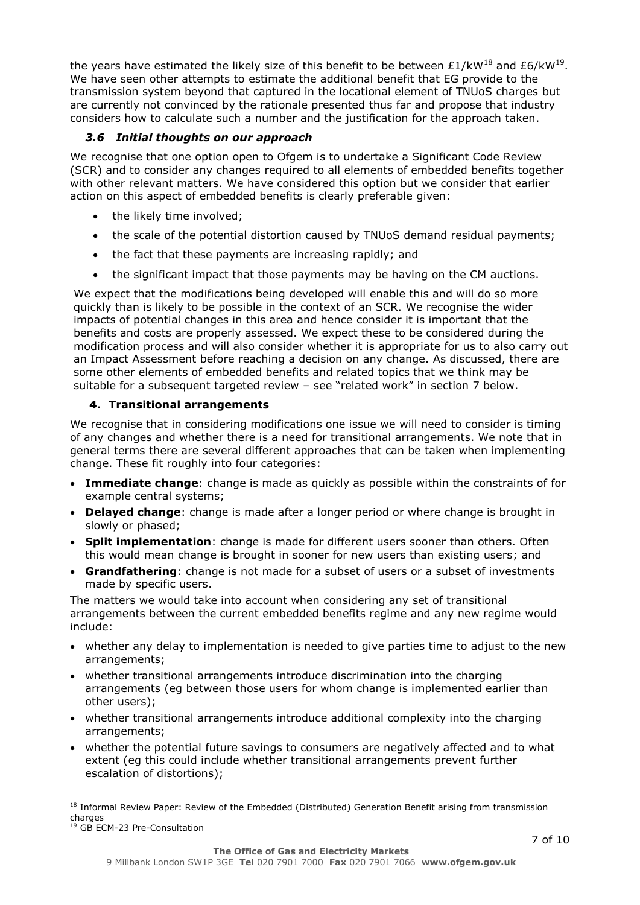the years have estimated the likely size of this benefit to be between  $£1/kW^{18}$  and  $£6/kW^{19}$ . We have seen other attempts to estimate the additional benefit that EG provide to the transmission system beyond that captured in the locational element of TNUoS charges but are currently not convinced by the rationale presented thus far and propose that industry considers how to calculate such a number and the justification for the approach taken.

# *3.6 Initial thoughts on our approach*

We recognise that one option open to Ofgem is to undertake a Significant Code Review (SCR) and to consider any changes required to all elements of embedded benefits together with other relevant matters. We have considered this option but we consider that earlier action on this aspect of embedded benefits is clearly preferable given:

- the likely time involved;
- the scale of the potential distortion caused by TNUoS demand residual payments;
- the fact that these payments are increasing rapidly; and
- the significant impact that those payments may be having on the CM auctions.

We expect that the modifications being developed will enable this and will do so more quickly than is likely to be possible in the context of an SCR. We recognise the wider impacts of potential changes in this area and hence consider it is important that the benefits and costs are properly assessed. We expect these to be considered during the modification process and will also consider whether it is appropriate for us to also carry out an Impact Assessment before reaching a decision on any change. As discussed, there are some other elements of embedded benefits and related topics that we think may be suitable for a subsequent targeted review – see "related work" in section 7 below.

# **4. Transitional arrangements**

We recognise that in considering modifications one issue we will need to consider is timing of any changes and whether there is a need for transitional arrangements. We note that in general terms there are several different approaches that can be taken when implementing change. These fit roughly into four categories:

- **Immediate change**: change is made as quickly as possible within the constraints of for example central systems;
- **Delayed change**: change is made after a longer period or where change is brought in slowly or phased;
- **Split implementation**: change is made for different users sooner than others. Often this would mean change is brought in sooner for new users than existing users; and
- **Grandfathering**: change is not made for a subset of users or a subset of investments made by specific users.

The matters we would take into account when considering any set of transitional arrangements between the current embedded benefits regime and any new regime would include:

- whether any delay to implementation is needed to give parties time to adjust to the new arrangements;
- whether transitional arrangements introduce discrimination into the charging arrangements (eg between those users for whom change is implemented earlier than other users);
- whether transitional arrangements introduce additional complexity into the charging arrangements;
- whether the potential future savings to consumers are negatively affected and to what extent (eg this could include whether transitional arrangements prevent further escalation of distortions);

l

<sup>&</sup>lt;sup>18</sup> Informal Review Paper: Review of the Embedded (Distributed) Generation Benefit arising from transmission charges

<sup>19</sup> GB ECM-23 Pre-Consultation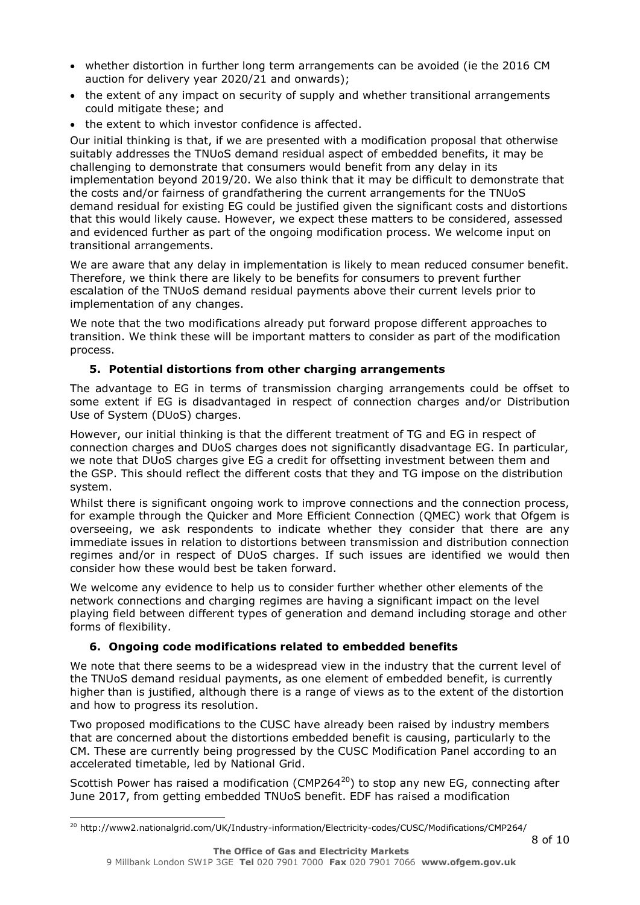- whether distortion in further long term arrangements can be avoided (ie the 2016 CM auction for delivery year 2020/21 and onwards);
- the extent of any impact on security of supply and whether transitional arrangements could mitigate these; and
- the extent to which investor confidence is affected.

Our initial thinking is that, if we are presented with a modification proposal that otherwise suitably addresses the TNUoS demand residual aspect of embedded benefits, it may be challenging to demonstrate that consumers would benefit from any delay in its implementation beyond 2019/20. We also think that it may be difficult to demonstrate that the costs and/or fairness of grandfathering the current arrangements for the TNUoS demand residual for existing EG could be justified given the significant costs and distortions that this would likely cause. However, we expect these matters to be considered, assessed and evidenced further as part of the ongoing modification process. We welcome input on transitional arrangements.

We are aware that any delay in implementation is likely to mean reduced consumer benefit. Therefore, we think there are likely to be benefits for consumers to prevent further escalation of the TNUoS demand residual payments above their current levels prior to implementation of any changes.

We note that the two modifications already put forward propose different approaches to transition. We think these will be important matters to consider as part of the modification process.

# **5. Potential distortions from other charging arrangements**

The advantage to EG in terms of transmission charging arrangements could be offset to some extent if EG is disadvantaged in respect of connection charges and/or Distribution Use of System (DUoS) charges.

However, our initial thinking is that the different treatment of TG and EG in respect of connection charges and DUoS charges does not significantly disadvantage EG. In particular, we note that DUoS charges give EG a credit for offsetting investment between them and the GSP. This should reflect the different costs that they and TG impose on the distribution system.

Whilst there is significant ongoing work to improve connections and the connection process, for example through the Quicker and More Efficient Connection (QMEC) work that Ofgem is overseeing, we ask respondents to indicate whether they consider that there are any immediate issues in relation to distortions between transmission and distribution connection regimes and/or in respect of DUoS charges. If such issues are identified we would then consider how these would best be taken forward.

We welcome any evidence to help us to consider further whether other elements of the network connections and charging regimes are having a significant impact on the level playing field between different types of generation and demand including storage and other forms of flexibility.

# **6. Ongoing code modifications related to embedded benefits**

We note that there seems to be a widespread view in the industry that the current level of the TNUoS demand residual payments, as one element of embedded benefit, is currently higher than is justified, although there is a range of views as to the extent of the distortion and how to progress its resolution.

Two proposed modifications to the CUSC have already been raised by industry members that are concerned about the distortions embedded benefit is causing, particularly to the CM. These are currently being progressed by the CUSC Modification Panel according to an accelerated timetable, led by National Grid.

Scottish Power has raised a modification (CMP264 $^{20}$ ) to stop any new EG, connecting after June 2017, from getting embedded TNUoS benefit. EDF has raised a modification

ł

<sup>&</sup>lt;sup>20</sup> http://www2.nationalgrid.com/UK/Industry-information/Electricity-codes/CUSC/Modifications/CMP264/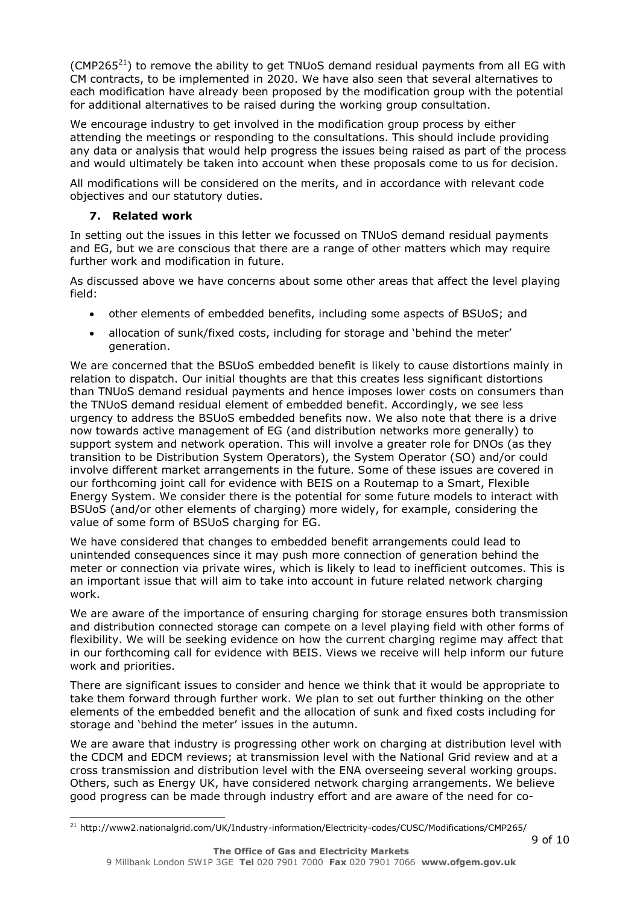(CMP265 $^{21}$ ) to remove the ability to get TNUoS demand residual payments from all EG with CM contracts, to be implemented in 2020. We have also seen that several alternatives to each modification have already been proposed by the modification group with the potential for additional alternatives to be raised during the working group consultation.

We encourage industry to get involved in the modification group process by either attending the meetings or responding to the consultations. This should include providing any data or analysis that would help progress the issues being raised as part of the process and would ultimately be taken into account when these proposals come to us for decision.

All modifications will be considered on the merits, and in accordance with relevant code objectives and our statutory duties.

### **7. Related work**

ł

In setting out the issues in this letter we focussed on TNUoS demand residual payments and EG, but we are conscious that there are a range of other matters which may require further work and modification in future.

As discussed above we have concerns about some other areas that affect the level playing field:

- other elements of embedded benefits, including some aspects of BSUoS; and
- allocation of sunk/fixed costs, including for storage and 'behind the meter' generation.

We are concerned that the BSUoS embedded benefit is likely to cause distortions mainly in relation to dispatch. Our initial thoughts are that this creates less significant distortions than TNUoS demand residual payments and hence imposes lower costs on consumers than the TNUoS demand residual element of embedded benefit. Accordingly, we see less urgency to address the BSUoS embedded benefits now. We also note that there is a drive now towards active management of EG (and distribution networks more generally) to support system and network operation. This will involve a greater role for DNOs (as they transition to be Distribution System Operators), the System Operator (SO) and/or could involve different market arrangements in the future. Some of these issues are covered in our forthcoming joint call for evidence with BEIS on a Routemap to a Smart, Flexible Energy System. We consider there is the potential for some future models to interact with BSUoS (and/or other elements of charging) more widely, for example, considering the value of some form of BSUoS charging for EG.

We have considered that changes to embedded benefit arrangements could lead to unintended consequences since it may push more connection of generation behind the meter or connection via private wires, which is likely to lead to inefficient outcomes. This is an important issue that will aim to take into account in future related network charging work.

We are aware of the importance of ensuring charging for storage ensures both transmission and distribution connected storage can compete on a level playing field with other forms of flexibility. We will be seeking evidence on how the current charging regime may affect that in our forthcoming call for evidence with BEIS. Views we receive will help inform our future work and priorities.

There are significant issues to consider and hence we think that it would be appropriate to take them forward through further work. We plan to set out further thinking on the other elements of the embedded benefit and the allocation of sunk and fixed costs including for storage and 'behind the meter' issues in the autumn.

We are aware that industry is progressing other work on charging at distribution level with the CDCM and EDCM reviews; at transmission level with the National Grid review and at a cross transmission and distribution level with the ENA overseeing several working groups. Others, such as Energy UK, have considered network charging arrangements. We believe good progress can be made through industry effort and are aware of the need for co-

<sup>21</sup> http://www2.nationalgrid.com/UK/Industry-information/Electricity-codes/CUSC/Modifications/CMP265/